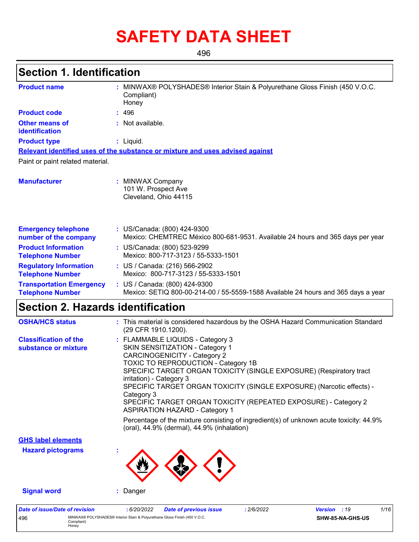# **SAFETY DATA SHEET**

496

# **Section 1. Identification**

496 MINWAX® POLYSHADES® Interior Stain & Polyurethane Gloss Finish (450 V.O.C. Compliant) Honey

| <b>Product name</b>                                        | : MINWAX® POLYSHADES® Interior Stain & Polyurethane Gloss Finish (450 V.O.C.<br>Compliant)<br>Honey                                                                                                                                                                                                                                                                                                                                                                                                                                                                                             |  |  |  |  |  |  |  |
|------------------------------------------------------------|-------------------------------------------------------------------------------------------------------------------------------------------------------------------------------------------------------------------------------------------------------------------------------------------------------------------------------------------------------------------------------------------------------------------------------------------------------------------------------------------------------------------------------------------------------------------------------------------------|--|--|--|--|--|--|--|
| <b>Product code</b>                                        | : 496                                                                                                                                                                                                                                                                                                                                                                                                                                                                                                                                                                                           |  |  |  |  |  |  |  |
| <b>Other means of</b><br>identification                    | : Not available.                                                                                                                                                                                                                                                                                                                                                                                                                                                                                                                                                                                |  |  |  |  |  |  |  |
| <b>Product type</b>                                        | : Liquid.                                                                                                                                                                                                                                                                                                                                                                                                                                                                                                                                                                                       |  |  |  |  |  |  |  |
|                                                            | Relevant identified uses of the substance or mixture and uses advised against                                                                                                                                                                                                                                                                                                                                                                                                                                                                                                                   |  |  |  |  |  |  |  |
| Paint or paint related material.                           |                                                                                                                                                                                                                                                                                                                                                                                                                                                                                                                                                                                                 |  |  |  |  |  |  |  |
| <b>Manufacturer</b>                                        | : MINWAX Company<br>101 W. Prospect Ave<br>Cleveland, Ohio 44115                                                                                                                                                                                                                                                                                                                                                                                                                                                                                                                                |  |  |  |  |  |  |  |
| <b>Emergency telephone</b><br>number of the company        | : US/Canada: (800) 424-9300<br>Mexico: CHEMTREC México 800-681-9531. Available 24 hours and 365 days per year                                                                                                                                                                                                                                                                                                                                                                                                                                                                                   |  |  |  |  |  |  |  |
| <b>Product Information</b><br><b>Telephone Number</b>      | : US/Canada: (800) 523-9299<br>Mexico: 800-717-3123 / 55-5333-1501                                                                                                                                                                                                                                                                                                                                                                                                                                                                                                                              |  |  |  |  |  |  |  |
| <b>Regulatory Information</b><br><b>Telephone Number</b>   | : US / Canada: (216) 566-2902<br>Mexico: 800-717-3123 / 55-5333-1501                                                                                                                                                                                                                                                                                                                                                                                                                                                                                                                            |  |  |  |  |  |  |  |
| <b>Transportation Emergency</b><br><b>Telephone Number</b> | : US / Canada: (800) 424-9300<br>Mexico: SETIQ 800-00-214-00 / 55-5559-1588 Available 24 hours and 365 days a year                                                                                                                                                                                                                                                                                                                                                                                                                                                                              |  |  |  |  |  |  |  |
| <b>Section 2. Hazards identification</b>                   |                                                                                                                                                                                                                                                                                                                                                                                                                                                                                                                                                                                                 |  |  |  |  |  |  |  |
| <b>OSHA/HCS status</b>                                     | : This material is considered hazardous by the OSHA Hazard Communication Standard<br>(29 CFR 1910.1200).                                                                                                                                                                                                                                                                                                                                                                                                                                                                                        |  |  |  |  |  |  |  |
| <b>Classification of the</b><br>substance or mixture       | : FLAMMABLE LIQUIDS - Category 3<br>SKIN SENSITIZATION - Category 1<br><b>CARCINOGENICITY - Category 2</b><br>TOXIC TO REPRODUCTION - Category 1B<br>SPECIFIC TARGET ORGAN TOXICITY (SINGLE EXPOSURE) (Respiratory tract<br>irritation) - Category 3<br>SPECIFIC TARGET ORGAN TOXICITY (SINGLE EXPOSURE) (Narcotic effects) -<br>Category 3<br>SPECIFIC TARGET ORGAN TOXICITY (REPEATED EXPOSURE) - Category 2<br><b>ASPIRATION HAZARD - Category 1</b><br>Percentage of the mixture consisting of ingredient(s) of unknown acute toxicity: 44.9%<br>(oral), 44.9% (dermal), 44.9% (inhalation) |  |  |  |  |  |  |  |
| <b>GHS label elements</b>                                  |                                                                                                                                                                                                                                                                                                                                                                                                                                                                                                                                                                                                 |  |  |  |  |  |  |  |
| <b>Hazard pictograms</b>                                   |                                                                                                                                                                                                                                                                                                                                                                                                                                                                                                                                                                                                 |  |  |  |  |  |  |  |
| <b>Signal word</b>                                         | : Danger                                                                                                                                                                                                                                                                                                                                                                                                                                                                                                                                                                                        |  |  |  |  |  |  |  |
| <b>Date of issue/Date of revision</b>                      | : 6/20/2022<br>1/16<br><b>Date of previous issue</b><br>: 2/6/2022<br>Version : 19                                                                                                                                                                                                                                                                                                                                                                                                                                                                                                              |  |  |  |  |  |  |  |

**SHW-85-NA-GHS-US**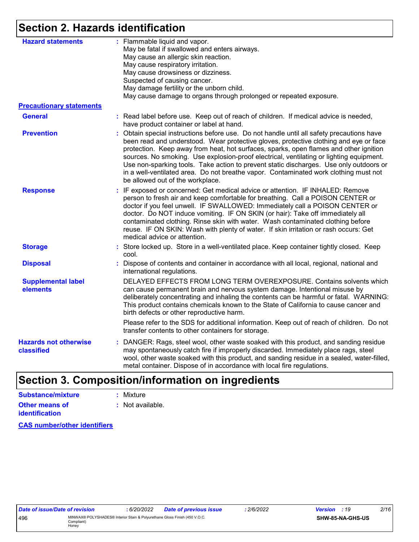# **Section 2. Hazards identification**

| <b>Hazard statements</b>                   | : Flammable liquid and vapor.<br>May be fatal if swallowed and enters airways.<br>May cause an allergic skin reaction.<br>May cause respiratory irritation.<br>May cause drowsiness or dizziness.<br>Suspected of causing cancer.<br>May damage fertility or the unborn child.<br>May cause damage to organs through prolonged or repeated exposure.                                                                                                                                                                                                                                         |  |  |  |
|--------------------------------------------|----------------------------------------------------------------------------------------------------------------------------------------------------------------------------------------------------------------------------------------------------------------------------------------------------------------------------------------------------------------------------------------------------------------------------------------------------------------------------------------------------------------------------------------------------------------------------------------------|--|--|--|
| <b>Precautionary statements</b>            |                                                                                                                                                                                                                                                                                                                                                                                                                                                                                                                                                                                              |  |  |  |
| <b>General</b>                             | : Read label before use. Keep out of reach of children. If medical advice is needed,<br>have product container or label at hand.                                                                                                                                                                                                                                                                                                                                                                                                                                                             |  |  |  |
| <b>Prevention</b>                          | : Obtain special instructions before use. Do not handle until all safety precautions have<br>been read and understood. Wear protective gloves, protective clothing and eye or face<br>protection. Keep away from heat, hot surfaces, sparks, open flames and other ignition<br>sources. No smoking. Use explosion-proof electrical, ventilating or lighting equipment.<br>Use non-sparking tools. Take action to prevent static discharges. Use only outdoors or<br>in a well-ventilated area. Do not breathe vapor. Contaminated work clothing must not<br>be allowed out of the workplace. |  |  |  |
| <b>Response</b>                            | : IF exposed or concerned: Get medical advice or attention. IF INHALED: Remove<br>person to fresh air and keep comfortable for breathing. Call a POISON CENTER or<br>doctor if you feel unwell. IF SWALLOWED: Immediately call a POISON CENTER or<br>doctor. Do NOT induce vomiting. IF ON SKIN (or hair): Take off immediately all<br>contaminated clothing. Rinse skin with water. Wash contaminated clothing before<br>reuse. IF ON SKIN: Wash with plenty of water. If skin irritation or rash occurs: Get<br>medical advice or attention.                                               |  |  |  |
| <b>Storage</b>                             | : Store locked up. Store in a well-ventilated place. Keep container tightly closed. Keep<br>cool.                                                                                                                                                                                                                                                                                                                                                                                                                                                                                            |  |  |  |
| <b>Disposal</b>                            | : Dispose of contents and container in accordance with all local, regional, national and<br>international regulations.                                                                                                                                                                                                                                                                                                                                                                                                                                                                       |  |  |  |
| <b>Supplemental label</b><br>elements      | DELAYED EFFECTS FROM LONG TERM OVEREXPOSURE. Contains solvents which<br>can cause permanent brain and nervous system damage. Intentional misuse by<br>deliberately concentrating and inhaling the contents can be harmful or fatal. WARNING:<br>This product contains chemicals known to the State of California to cause cancer and<br>birth defects or other reproductive harm.                                                                                                                                                                                                            |  |  |  |
|                                            | Please refer to the SDS for additional information. Keep out of reach of children. Do not<br>transfer contents to other containers for storage.                                                                                                                                                                                                                                                                                                                                                                                                                                              |  |  |  |
| <b>Hazards not otherwise</b><br>classified | : DANGER: Rags, steel wool, other waste soaked with this product, and sanding residue<br>may spontaneously catch fire if improperly discarded. Immediately place rags, steel<br>wool, other waste soaked with this product, and sanding residue in a sealed, water-filled,<br>metal container. Dispose of in accordance with local fire regulations.                                                                                                                                                                                                                                         |  |  |  |
|                                            |                                                                                                                                                                                                                                                                                                                                                                                                                                                                                                                                                                                              |  |  |  |

# **Section 3. Composition/information on ingredients**

| Substance/mixture                       | : Mixture        |
|-----------------------------------------|------------------|
| Other means of<br><b>identification</b> | : Not available. |

**CAS number/other identifiers**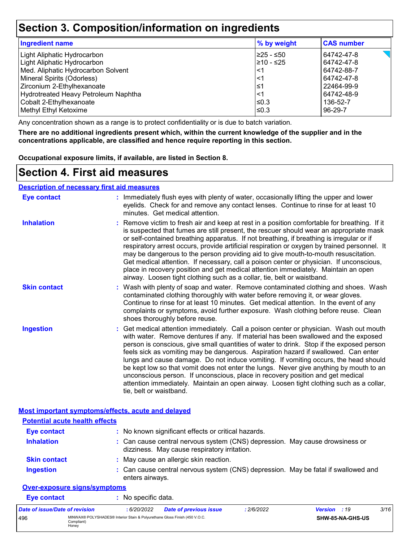## **Section 3. Composition/information on ingredients**

| <b>Ingredient name</b>               | % by weight | <b>CAS number</b> |
|--------------------------------------|-------------|-------------------|
| Light Aliphatic Hydrocarbon          | 225 - ≤50   | 64742-47-8        |
| Light Aliphatic Hydrocarbon          | l≥10 - ≤25  | 64742-47-8        |
| Med. Aliphatic Hydrocarbon Solvent   | <1          | 64742-88-7        |
| Mineral Spirits (Odorless)           | <1          | 64742-47-8        |
| Zirconium 2-Ethylhexanoate           | ≤1          | 22464-99-9        |
| Hydrotreated Heavy Petroleum Naphtha | <1          | 64742-48-9        |
| Cobalt 2-Ethylhexanoate              | ≤0.3        | 136-52-7          |
| Methyl Ethyl Ketoxime                | ≤0.3        | 96-29-7           |

Any concentration shown as a range is to protect confidentiality or is due to batch variation.

**There are no additional ingredients present which, within the current knowledge of the supplier and in the concentrations applicable, are classified and hence require reporting in this section.**

**Occupational exposure limits, if available, are listed in Section 8.**

### **Section 4. First aid measures**

**Description of necessary first aid measures**

| <b>Eye contact</b>                                 | : Immediately flush eyes with plenty of water, occasionally lifting the upper and lower<br>eyelids. Check for and remove any contact lenses. Continue to rinse for at least 10<br>minutes. Get medical attention.                                                                                                                                                                                                                                                                                                                                                                                                                                                                                                                                       |  |  |  |  |
|----------------------------------------------------|---------------------------------------------------------------------------------------------------------------------------------------------------------------------------------------------------------------------------------------------------------------------------------------------------------------------------------------------------------------------------------------------------------------------------------------------------------------------------------------------------------------------------------------------------------------------------------------------------------------------------------------------------------------------------------------------------------------------------------------------------------|--|--|--|--|
| <b>Inhalation</b>                                  | : Remove victim to fresh air and keep at rest in a position comfortable for breathing. If it<br>is suspected that fumes are still present, the rescuer should wear an appropriate mask<br>or self-contained breathing apparatus. If not breathing, if breathing is irregular or if<br>respiratory arrest occurs, provide artificial respiration or oxygen by trained personnel. It<br>may be dangerous to the person providing aid to give mouth-to-mouth resuscitation.<br>Get medical attention. If necessary, call a poison center or physician. If unconscious,<br>place in recovery position and get medical attention immediately. Maintain an open<br>airway. Loosen tight clothing such as a collar, tie, belt or waistband.                    |  |  |  |  |
| <b>Skin contact</b>                                | : Wash with plenty of soap and water. Remove contaminated clothing and shoes. Wash<br>contaminated clothing thoroughly with water before removing it, or wear gloves.<br>Continue to rinse for at least 10 minutes. Get medical attention. In the event of any<br>complaints or symptoms, avoid further exposure. Wash clothing before reuse. Clean<br>shoes thoroughly before reuse.                                                                                                                                                                                                                                                                                                                                                                   |  |  |  |  |
| <b>Ingestion</b>                                   | : Get medical attention immediately. Call a poison center or physician. Wash out mouth<br>with water. Remove dentures if any. If material has been swallowed and the exposed<br>person is conscious, give small quantities of water to drink. Stop if the exposed person<br>feels sick as vomiting may be dangerous. Aspiration hazard if swallowed. Can enter<br>lungs and cause damage. Do not induce vomiting. If vomiting occurs, the head should<br>be kept low so that vomit does not enter the lungs. Never give anything by mouth to an<br>unconscious person. If unconscious, place in recovery position and get medical<br>attention immediately. Maintain an open airway. Loosen tight clothing such as a collar,<br>tie, belt or waistband. |  |  |  |  |
| Most important symptoms/effects, acute and delayed |                                                                                                                                                                                                                                                                                                                                                                                                                                                                                                                                                                                                                                                                                                                                                         |  |  |  |  |
| <b>Potential acute health effects</b>              |                                                                                                                                                                                                                                                                                                                                                                                                                                                                                                                                                                                                                                                                                                                                                         |  |  |  |  |
| <b>Eye contact</b>                                 | : No known significant effects or critical hazards.                                                                                                                                                                                                                                                                                                                                                                                                                                                                                                                                                                                                                                                                                                     |  |  |  |  |
| <b>Inhalation</b>                                  | : Can cause central nervous system (CNS) depression. May cause drowsiness or<br>dizziness. May cause respiratory irritation.                                                                                                                                                                                                                                                                                                                                                                                                                                                                                                                                                                                                                            |  |  |  |  |
| <b>Skin contact</b>                                | : May cause an allergic skin reaction.                                                                                                                                                                                                                                                                                                                                                                                                                                                                                                                                                                                                                                                                                                                  |  |  |  |  |

Can cause central nervous system (CNS) depression. May be fatal if swallowed and enters airways. **Ingestion :**

#### **Over-exposure signs/symptoms**

| Eye contact                    |                     | : No specific data. |                                                                            |            |                         |      |
|--------------------------------|---------------------|---------------------|----------------------------------------------------------------------------|------------|-------------------------|------|
| Date of issue/Date of revision |                     | : 6/20/2022         | Date of previous issue                                                     | : 2/6/2022 | <b>Version</b> : 19     | 3/16 |
| 496                            | Compliant)<br>Honey |                     | MINWAX® POLYSHADES® Interior Stain & Polyurethane Gloss Finish (450 V.O.C. |            | <b>SHW-85-NA-GHS-US</b> |      |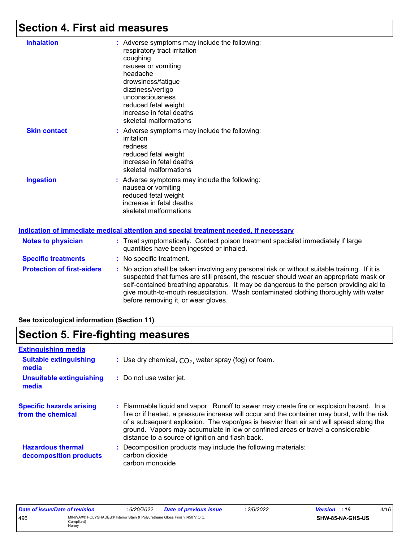## **Section 4. First aid measures**

| <b>Inhalation</b>                 | : Adverse symptoms may include the following:<br>respiratory tract irritation<br>coughing<br>nausea or vomiting<br>headache<br>drowsiness/fatigue<br>dizziness/vertigo<br>unconsciousness<br>reduced fetal weight<br>increase in fetal deaths<br>skeletal malformations |
|-----------------------------------|-------------------------------------------------------------------------------------------------------------------------------------------------------------------------------------------------------------------------------------------------------------------------|
| <b>Skin contact</b>               | : Adverse symptoms may include the following:<br>irritation<br>redness<br>reduced fetal weight<br>increase in fetal deaths<br>skeletal malformations                                                                                                                    |
| <b>Ingestion</b>                  | : Adverse symptoms may include the following:<br>nausea or vomiting<br>reduced fetal weight<br>increase in fetal deaths<br>skeletal malformations                                                                                                                       |
|                                   | Indication of immediate medical attention and special treatment needed, if necessary                                                                                                                                                                                    |
| <b>Notes to physician</b>         | : Treat symptomatically. Contact poison treatment specialist immediately if large<br>quantities have been ingested or inhaled.                                                                                                                                          |
| <b>Specific treatments</b>        | : No specific treatment.                                                                                                                                                                                                                                                |
| <b>Protection of first-aiders</b> | : No action shall be taken involving any personal risk or without suitable training.                                                                                                                                                                                    |

suitable training. If it is suspected that fumes are still present, the rescuer should wear an appropriate mask or self-contained breathing apparatus. It may be dangerous to the person providing aid to give mouth-to-mouth resuscitation. Wash contaminated clothing thoroughly with water before removing it, or wear gloves.

#### **See toxicological information (Section 11)**

### **Section 5. Fire-fighting measures**

| <b>Extinguishing media</b>                           |                                                                                                                                                                                                                                                                                                                                                                                                                          |
|------------------------------------------------------|--------------------------------------------------------------------------------------------------------------------------------------------------------------------------------------------------------------------------------------------------------------------------------------------------------------------------------------------------------------------------------------------------------------------------|
| <b>Suitable extinguishing</b><br>media               | : Use dry chemical, $CO2$ , water spray (fog) or foam.                                                                                                                                                                                                                                                                                                                                                                   |
| <b>Unsuitable extinguishing</b><br>media             | : Do not use water jet.                                                                                                                                                                                                                                                                                                                                                                                                  |
| <b>Specific hazards arising</b><br>from the chemical | : Flammable liquid and vapor. Runoff to sewer may create fire or explosion hazard. In a<br>fire or if heated, a pressure increase will occur and the container may burst, with the risk<br>of a subsequent explosion. The vapor/gas is heavier than air and will spread along the<br>ground. Vapors may accumulate in low or confined areas or travel a considerable<br>distance to a source of ignition and flash back. |
| <b>Hazardous thermal</b><br>decomposition products   | Decomposition products may include the following materials:<br>carbon dioxide<br>carbon monoxide                                                                                                                                                                                                                                                                                                                         |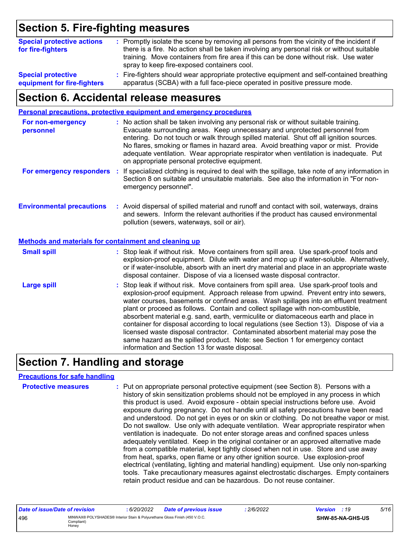# **Section 5. Fire-fighting measures**

| <b>Special protective actions</b><br>for fire-fighters | : Promptly isolate the scene by removing all persons from the vicinity of the incident if<br>there is a fire. No action shall be taken involving any personal risk or without suitable<br>training. Move containers from fire area if this can be done without risk. Use water<br>spray to keep fire-exposed containers cool. |
|--------------------------------------------------------|-------------------------------------------------------------------------------------------------------------------------------------------------------------------------------------------------------------------------------------------------------------------------------------------------------------------------------|
| <b>Special protective</b>                              | : Fire-fighters should wear appropriate protective equipment and self-contained breathing                                                                                                                                                                                                                                     |
| equipment for fire-fighters                            | apparatus (SCBA) with a full face-piece operated in positive pressure mode.                                                                                                                                                                                                                                                   |

# **Section 6. Accidental release measures**

|                                                       | Personal precautions, protective equipment and emergency procedures                                                                                                                                                                                                                                                                                                                                                                                                                                                                                                                                                                                                                                                                                                  |
|-------------------------------------------------------|----------------------------------------------------------------------------------------------------------------------------------------------------------------------------------------------------------------------------------------------------------------------------------------------------------------------------------------------------------------------------------------------------------------------------------------------------------------------------------------------------------------------------------------------------------------------------------------------------------------------------------------------------------------------------------------------------------------------------------------------------------------------|
| For non-emergency<br>personnel                        | : No action shall be taken involving any personal risk or without suitable training.<br>Evacuate surrounding areas. Keep unnecessary and unprotected personnel from<br>entering. Do not touch or walk through spilled material. Shut off all ignition sources.<br>No flares, smoking or flames in hazard area. Avoid breathing vapor or mist. Provide<br>adequate ventilation. Wear appropriate respirator when ventilation is inadequate. Put<br>on appropriate personal protective equipment.                                                                                                                                                                                                                                                                      |
| For emergency responders                              | If specialized clothing is required to deal with the spillage, take note of any information in<br>÷.<br>Section 8 on suitable and unsuitable materials. See also the information in "For non-<br>emergency personnel".                                                                                                                                                                                                                                                                                                                                                                                                                                                                                                                                               |
| <b>Environmental precautions</b>                      | : Avoid dispersal of spilled material and runoff and contact with soil, waterways, drains<br>and sewers. Inform the relevant authorities if the product has caused environmental<br>pollution (sewers, waterways, soil or air).                                                                                                                                                                                                                                                                                                                                                                                                                                                                                                                                      |
| Methods and materials for containment and cleaning up |                                                                                                                                                                                                                                                                                                                                                                                                                                                                                                                                                                                                                                                                                                                                                                      |
| <b>Small spill</b>                                    | : Stop leak if without risk. Move containers from spill area. Use spark-proof tools and<br>explosion-proof equipment. Dilute with water and mop up if water-soluble. Alternatively,<br>or if water-insoluble, absorb with an inert dry material and place in an appropriate waste<br>disposal container. Dispose of via a licensed waste disposal contractor.                                                                                                                                                                                                                                                                                                                                                                                                        |
| <b>Large spill</b>                                    | : Stop leak if without risk. Move containers from spill area. Use spark-proof tools and<br>explosion-proof equipment. Approach release from upwind. Prevent entry into sewers,<br>water courses, basements or confined areas. Wash spillages into an effluent treatment<br>plant or proceed as follows. Contain and collect spillage with non-combustible,<br>absorbent material e.g. sand, earth, vermiculite or diatomaceous earth and place in<br>container for disposal according to local regulations (see Section 13). Dispose of via a<br>licensed waste disposal contractor. Contaminated absorbent material may pose the<br>same hazard as the spilled product. Note: see Section 1 for emergency contact<br>information and Section 13 for waste disposal. |

# **Section 7. Handling and storage**

#### **Precautions for safe handling**

| <b>Protective measures</b> | : Put on appropriate personal protective equipment (see Section 8). Persons with a<br>history of skin sensitization problems should not be employed in any process in which<br>this product is used. Avoid exposure - obtain special instructions before use. Avoid<br>exposure during pregnancy. Do not handle until all safety precautions have been read<br>and understood. Do not get in eyes or on skin or clothing. Do not breathe vapor or mist.<br>Do not swallow. Use only with adequate ventilation. Wear appropriate respirator when<br>ventilation is inadequate. Do not enter storage areas and confined spaces unless<br>adequately ventilated. Keep in the original container or an approved alternative made<br>from a compatible material, kept tightly closed when not in use. Store and use away<br>from heat, sparks, open flame or any other ignition source. Use explosion-proof<br>electrical (ventilating, lighting and material handling) equipment. Use only non-sparking |
|----------------------------|-----------------------------------------------------------------------------------------------------------------------------------------------------------------------------------------------------------------------------------------------------------------------------------------------------------------------------------------------------------------------------------------------------------------------------------------------------------------------------------------------------------------------------------------------------------------------------------------------------------------------------------------------------------------------------------------------------------------------------------------------------------------------------------------------------------------------------------------------------------------------------------------------------------------------------------------------------------------------------------------------------|
|                            | tools. Take precautionary measures against electrostatic discharges. Empty containers<br>retain product residue and can be hazardous. Do not reuse container.                                                                                                                                                                                                                                                                                                                                                                                                                                                                                                                                                                                                                                                                                                                                                                                                                                       |

| Date of issue/Date of revision |                                                                                                   | .6/20/2022 | <b>Date of previous issue</b> | 2/6/2022 | <b>Version</b> : 19 |                         | 5/16 |
|--------------------------------|---------------------------------------------------------------------------------------------------|------------|-------------------------------|----------|---------------------|-------------------------|------|
| 496                            | MINWAX® POLYSHADES® Interior Stain & Polyurethane Gloss Finish (450 V.O.C.<br>Compliant)<br>Honev |            |                               |          |                     | <b>SHW-85-NA-GHS-US</b> |      |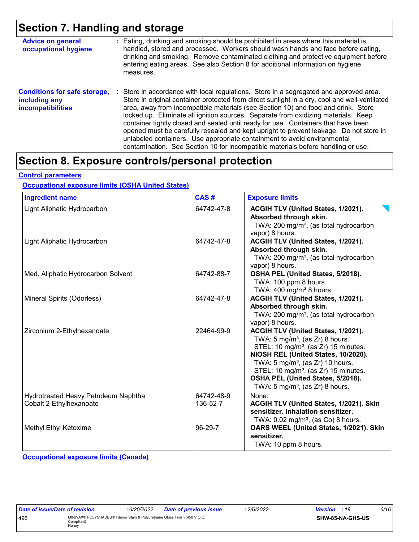## **Section 7. Handling and storage**

| <b>Advice on general</b><br>occupational hygiene                                 | : Eating, drinking and smoking should be prohibited in areas where this material is<br>handled, stored and processed. Workers should wash hands and face before eating,<br>drinking and smoking. Remove contaminated clothing and protective equipment before<br>entering eating areas. See also Section 8 for additional information on hygiene<br>measures.                                                                                                                                                                                                                                                                                                                                                      |
|----------------------------------------------------------------------------------|--------------------------------------------------------------------------------------------------------------------------------------------------------------------------------------------------------------------------------------------------------------------------------------------------------------------------------------------------------------------------------------------------------------------------------------------------------------------------------------------------------------------------------------------------------------------------------------------------------------------------------------------------------------------------------------------------------------------|
| <b>Conditions for safe storage,</b><br>including any<br><b>incompatibilities</b> | : Store in accordance with local regulations. Store in a segregated and approved area.<br>Store in original container protected from direct sunlight in a dry, cool and well-ventilated<br>area, away from incompatible materials (see Section 10) and food and drink. Store<br>locked up. Eliminate all ignition sources. Separate from oxidizing materials. Keep<br>container tightly closed and sealed until ready for use. Containers that have been<br>opened must be carefully resealed and kept upright to prevent leakage. Do not store in<br>unlabeled containers. Use appropriate containment to avoid environmental<br>contamination. See Section 10 for incompatible materials before handling or use. |

## **Section 8. Exposure controls/personal protection**

#### **Control parameters**

#### **Occupational exposure limits (OSHA United States)**

| <b>Ingredient name</b>                                          | CAS#                   | <b>Exposure limits</b>                                                                                                                                                                                                                                                                                                                                            |
|-----------------------------------------------------------------|------------------------|-------------------------------------------------------------------------------------------------------------------------------------------------------------------------------------------------------------------------------------------------------------------------------------------------------------------------------------------------------------------|
| Light Aliphatic Hydrocarbon                                     | 64742-47-8             | ACGIH TLV (United States, 1/2021).<br>Absorbed through skin.<br>TWA: 200 mg/m <sup>3</sup> , (as total hydrocarbon<br>vapor) 8 hours.                                                                                                                                                                                                                             |
| Light Aliphatic Hydrocarbon                                     | 64742-47-8             | ACGIH TLV (United States, 1/2021).<br>Absorbed through skin.<br>TWA: 200 mg/m <sup>3</sup> , (as total hydrocarbon<br>vapor) 8 hours.                                                                                                                                                                                                                             |
| Med. Aliphatic Hydrocarbon Solvent                              | 64742-88-7             | OSHA PEL (United States, 5/2018).<br>TWA: 100 ppm 8 hours.<br>TWA: $400 \text{ mg/m}^3$ 8 hours.                                                                                                                                                                                                                                                                  |
| Mineral Spirits (Odorless)                                      | 64742-47-8             | ACGIH TLV (United States, 1/2021).<br>Absorbed through skin.<br>TWA: 200 mg/m <sup>3</sup> , (as total hydrocarbon<br>vapor) 8 hours.                                                                                                                                                                                                                             |
| Zirconium 2-Ethylhexanoate                                      | 22464-99-9             | ACGIH TLV (United States, 1/2021).<br>TWA: $5 \text{ mg/m}^3$ , (as Zr) 8 hours.<br>STEL: 10 mg/m <sup>3</sup> , (as Zr) 15 minutes.<br>NIOSH REL (United States, 10/2020).<br>TWA: $5 \text{ mg/m}^3$ , (as Zr) 10 hours.<br>STEL: 10 mg/m <sup>3</sup> , (as Zr) 15 minutes.<br>OSHA PEL (United States, 5/2018).<br>TWA: $5 \text{ mg/m}^3$ , (as Zr) 8 hours. |
| Hydrotreated Heavy Petroleum Naphtha<br>Cobalt 2-Ethylhexanoate | 64742-48-9<br>136-52-7 | None.<br>ACGIH TLV (United States, 1/2021). Skin<br>sensitizer. Inhalation sensitizer.<br>TWA: $0.02$ mg/m <sup>3</sup> , (as Co) 8 hours.                                                                                                                                                                                                                        |
| Methyl Ethyl Ketoxime                                           | 96-29-7                | OARS WEEL (United States, 1/2021). Skin<br>sensitizer.<br>TWA: 10 ppm 8 hours.                                                                                                                                                                                                                                                                                    |

**Occupational exposure limits (Canada)**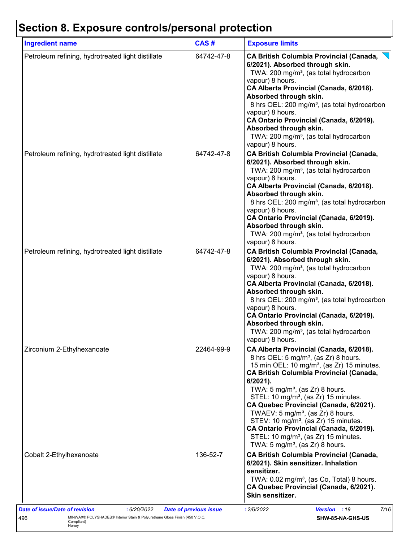# **Section 8. Exposure controls/personal protection**

| <b>Ingredient name</b>                            | CAS#       | <b>Exposure limits</b>                                                                                                                                                                                                                                                                                                                                                                                                                                                                                                                                                                                                 |
|---------------------------------------------------|------------|------------------------------------------------------------------------------------------------------------------------------------------------------------------------------------------------------------------------------------------------------------------------------------------------------------------------------------------------------------------------------------------------------------------------------------------------------------------------------------------------------------------------------------------------------------------------------------------------------------------------|
| Petroleum refining, hydrotreated light distillate | 64742-47-8 | <b>CA British Columbia Provincial (Canada,</b><br>6/2021). Absorbed through skin.<br>TWA: 200 mg/m <sup>3</sup> , (as total hydrocarbon<br>vapour) 8 hours.<br>CA Alberta Provincial (Canada, 6/2018).<br>Absorbed through skin.<br>8 hrs OEL: 200 mg/m <sup>3</sup> , (as total hydrocarbon<br>vapour) 8 hours.<br>CA Ontario Provincial (Canada, 6/2019).<br>Absorbed through skin.<br>TWA: 200 mg/m <sup>3</sup> , (as total hydrocarbon<br>vapour) 8 hours.                                                                                                                                                        |
| Petroleum refining, hydrotreated light distillate | 64742-47-8 | <b>CA British Columbia Provincial (Canada,</b><br>6/2021). Absorbed through skin.<br>TWA: 200 mg/m <sup>3</sup> , (as total hydrocarbon<br>vapour) 8 hours.<br>CA Alberta Provincial (Canada, 6/2018).<br>Absorbed through skin.<br>8 hrs OEL: 200 mg/m <sup>3</sup> , (as total hydrocarbon<br>vapour) 8 hours.<br>CA Ontario Provincial (Canada, 6/2019).<br>Absorbed through skin.<br>TWA: 200 mg/m <sup>3</sup> , (as total hydrocarbon<br>vapour) 8 hours.                                                                                                                                                        |
| Petroleum refining, hydrotreated light distillate | 64742-47-8 | <b>CA British Columbia Provincial (Canada,</b><br>6/2021). Absorbed through skin.<br>TWA: 200 mg/m <sup>3</sup> , (as total hydrocarbon<br>vapour) 8 hours.<br>CA Alberta Provincial (Canada, 6/2018).<br>Absorbed through skin.<br>8 hrs OEL: 200 mg/m <sup>3</sup> , (as total hydrocarbon<br>vapour) 8 hours.<br>CA Ontario Provincial (Canada, 6/2019).<br>Absorbed through skin.<br>TWA: 200 mg/m <sup>3</sup> , (as total hydrocarbon<br>vapour) 8 hours.                                                                                                                                                        |
| Zirconium 2-Ethylhexanoate                        | 22464-99-9 | CA Alberta Provincial (Canada, 6/2018).<br>8 hrs OEL: 5 mg/m <sup>3</sup> , (as Zr) 8 hours.<br>15 min OEL: 10 mg/m <sup>3</sup> , (as Zr) 15 minutes.<br><b>CA British Columbia Provincial (Canada,</b><br>$6/2021$ ).<br>TWA: $5 \text{ mg/m}^3$ , (as Zr) 8 hours.<br>STEL: 10 mg/m <sup>3</sup> , (as Zr) 15 minutes.<br>CA Quebec Provincial (Canada, 6/2021).<br>TWAEV: 5 mg/m <sup>3</sup> , (as Zr) 8 hours.<br>STEV: 10 mg/m <sup>3</sup> , (as Zr) 15 minutes.<br>CA Ontario Provincial (Canada, 6/2019).<br>STEL: 10 mg/m <sup>3</sup> , (as Zr) 15 minutes.<br>TWA: 5 mg/m <sup>3</sup> , (as Zr) 8 hours. |
| Cobalt 2-Ethylhexanoate                           | 136-52-7   | <b>CA British Columbia Provincial (Canada,</b><br>6/2021). Skin sensitizer. Inhalation<br>sensitizer.<br>TWA: 0.02 mg/m <sup>3</sup> , (as Co, Total) 8 hours.<br>CA Quebec Provincial (Canada, 6/2021).<br>Skin sensitizer.                                                                                                                                                                                                                                                                                                                                                                                           |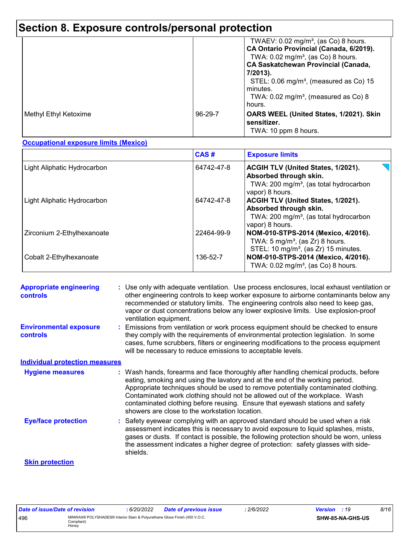# **Section 8. Exposure controls/personal protection**

|                       |         | TWAEV: $0.02 \text{ mg/m}^3$ , (as Co) 8 hours.<br>CA Ontario Provincial (Canada, 6/2019).<br>TWA: $0.02 \text{ mg/m}^3$ , (as Co) 8 hours.<br><b>CA Saskatchewan Provincial (Canada,</b><br>7/2013).<br>STEL: 0.06 mg/m <sup>3</sup> , (measured as Co) 15<br>minutes.<br>TWA: $0.02 \text{ mg/m}^3$ , (measured as Co) 8<br>hours. |
|-----------------------|---------|--------------------------------------------------------------------------------------------------------------------------------------------------------------------------------------------------------------------------------------------------------------------------------------------------------------------------------------|
| Methyl Ethyl Ketoxime | 96-29-7 | OARS WEEL (United States, 1/2021). Skin<br>sensitizer.<br>TWA: 10 ppm 8 hours.                                                                                                                                                                                                                                                       |

#### **Occupational exposure limits (Mexico)**

|                             | CAS#       | <b>Exposure limits</b>                                                                                                                |
|-----------------------------|------------|---------------------------------------------------------------------------------------------------------------------------------------|
| Light Aliphatic Hydrocarbon | 64742-47-8 | ACGIH TLV (United States, 1/2021).<br>Absorbed through skin.<br>TWA: 200 mg/m <sup>3</sup> , (as total hydrocarbon<br>vapor) 8 hours. |
| Light Aliphatic Hydrocarbon | 64742-47-8 | ACGIH TLV (United States, 1/2021).<br>Absorbed through skin.<br>TWA: $200 \text{ mg/m}^3$ , (as total hydrocarbon<br>vapor) 8 hours.  |
| Zirconium 2-Ethylhexanoate  | 22464-99-9 | NOM-010-STPS-2014 (Mexico, 4/2016).<br>TWA: $5 \text{ mg/m}^3$ , (as Zr) 8 hours.<br>STEL: 10 mg/m <sup>3</sup> , (as Zr) 15 minutes. |
| Cobalt 2-Ethylhexanoate     | 136-52-7   | NOM-010-STPS-2014 (Mexico, 4/2016).<br>TWA: $0.02 \text{ mg/m}^3$ , (as Co) 8 hours.                                                  |

| <b>Appropriate engineering</b><br><b>controls</b> | : Use only with adequate ventilation. Use process enclosures, local exhaust ventilation or<br>other engineering controls to keep worker exposure to airborne contaminants below any<br>recommended or statutory limits. The engineering controls also need to keep gas,<br>vapor or dust concentrations below any lower explosive limits. Use explosion-proof<br>ventilation equipment.                                                                                     |
|---------------------------------------------------|-----------------------------------------------------------------------------------------------------------------------------------------------------------------------------------------------------------------------------------------------------------------------------------------------------------------------------------------------------------------------------------------------------------------------------------------------------------------------------|
| <b>Environmental exposure</b><br><b>controls</b>  | Emissions from ventilation or work process equipment should be checked to ensure<br>they comply with the requirements of environmental protection legislation. In some<br>cases, fume scrubbers, filters or engineering modifications to the process equipment<br>will be necessary to reduce emissions to acceptable levels.                                                                                                                                               |
| <b>Individual protection measures</b>             |                                                                                                                                                                                                                                                                                                                                                                                                                                                                             |
| <b>Hygiene measures</b>                           | : Wash hands, forearms and face thoroughly after handling chemical products, before<br>eating, smoking and using the lavatory and at the end of the working period.<br>Appropriate techniques should be used to remove potentially contaminated clothing.<br>Contaminated work clothing should not be allowed out of the workplace. Wash<br>contaminated clothing before reusing. Ensure that eyewash stations and safety<br>showers are close to the workstation location. |
| <b>Eye/face protection</b>                        | : Safety eyewear complying with an approved standard should be used when a risk<br>assessment indicates this is necessary to avoid exposure to liquid splashes, mists,<br>gases or dusts. If contact is possible, the following protection should be worn, unless<br>the assessment indicates a higher degree of protection: safety glasses with side-<br>shields.                                                                                                          |
| <b>Skin protection</b>                            |                                                                                                                                                                                                                                                                                                                                                                                                                                                                             |

| Date of issue/Date of revision |                                                                                                   | 6/20/2022 | Date of previous issue | 2/6/2022 | <b>Version</b> : 19 |                  | 8/16 |
|--------------------------------|---------------------------------------------------------------------------------------------------|-----------|------------------------|----------|---------------------|------------------|------|
| 496                            | MINWAX® POLYSHADES® Interior Stain & Polyurethane Gloss Finish (450 V.O.C.<br>Compliant)<br>Honev |           |                        |          |                     | SHW-85-NA-GHS-US |      |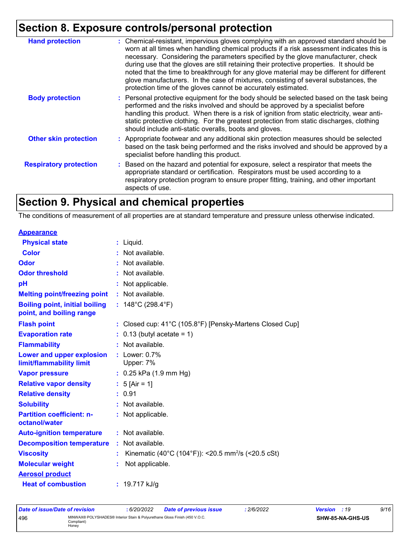# **Section 8. Exposure controls/personal protection**

| <b>Hand protection</b>        | : Chemical-resistant, impervious gloves complying with an approved standard should be<br>worn at all times when handling chemical products if a risk assessment indicates this is<br>necessary. Considering the parameters specified by the glove manufacturer, check<br>during use that the gloves are still retaining their protective properties. It should be<br>noted that the time to breakthrough for any glove material may be different for different<br>glove manufacturers. In the case of mixtures, consisting of several substances, the<br>protection time of the gloves cannot be accurately estimated. |
|-------------------------------|------------------------------------------------------------------------------------------------------------------------------------------------------------------------------------------------------------------------------------------------------------------------------------------------------------------------------------------------------------------------------------------------------------------------------------------------------------------------------------------------------------------------------------------------------------------------------------------------------------------------|
| <b>Body protection</b>        | : Personal protective equipment for the body should be selected based on the task being<br>performed and the risks involved and should be approved by a specialist before<br>handling this product. When there is a risk of ignition from static electricity, wear anti-<br>static protective clothing. For the greatest protection from static discharges, clothing<br>should include anti-static overalls, boots and gloves.                                                                                                                                                                                         |
| <b>Other skin protection</b>  | : Appropriate footwear and any additional skin protection measures should be selected<br>based on the task being performed and the risks involved and should be approved by a<br>specialist before handling this product.                                                                                                                                                                                                                                                                                                                                                                                              |
| <b>Respiratory protection</b> | : Based on the hazard and potential for exposure, select a respirator that meets the<br>appropriate standard or certification. Respirators must be used according to a<br>respiratory protection program to ensure proper fitting, training, and other important<br>aspects of use.                                                                                                                                                                                                                                                                                                                                    |

# **Section 9. Physical and chemical properties**

The conditions of measurement of all properties are at standard temperature and pressure unless otherwise indicated.

| <b>Appearance</b>                                                 |                                                                |
|-------------------------------------------------------------------|----------------------------------------------------------------|
| <b>Physical state</b>                                             | $:$ Liquid.                                                    |
| <b>Color</b>                                                      | : Not available.                                               |
| Odor                                                              | : Not available.                                               |
| <b>Odor threshold</b>                                             | Not available.                                                 |
| рH                                                                | Not applicable.                                                |
| <b>Melting point/freezing point</b>                               | : Not available.                                               |
| <b>Boiling point, initial boiling</b><br>point, and boiling range | : $148^{\circ}$ C (298.4 $^{\circ}$ F)                         |
| <b>Flash point</b>                                                | : Closed cup: 41°C (105.8°F) [Pensky-Martens Closed Cup]       |
| <b>Evaporation rate</b>                                           | $: 0.13$ (butyl acetate = 1)                                   |
| <b>Flammability</b>                                               | : Not available.                                               |
| Lower and upper explosion<br>limit/flammability limit             | $:$ Lower: $0.7\%$<br>Upper: 7%                                |
| <b>Vapor pressure</b>                                             | $: 0.25$ kPa (1.9 mm Hg)                                       |
| <b>Relative vapor density</b>                                     | : $5$ [Air = 1]                                                |
| <b>Relative density</b>                                           | : 0.91                                                         |
| <b>Solubility</b>                                                 | : Not available.                                               |
| <b>Partition coefficient: n-</b><br>octanol/water                 | : Not applicable.                                              |
| <b>Auto-ignition temperature</b>                                  | : Not available.                                               |
| <b>Decomposition temperature</b>                                  | Not available.                                                 |
| <b>Viscosity</b>                                                  | Kinematic (40°C (104°F)): <20.5 mm <sup>2</sup> /s (<20.5 cSt) |
| <b>Molecular weight</b>                                           | Not applicable.                                                |
| <b>Aerosol product</b>                                            |                                                                |
| <b>Heat of combustion</b>                                         | : $19.717$ kJ/g                                                |

| Date of issue/Date of revision |                                                                                                   | : 6/20/2022 | <b>Date of previous issue</b> | 2/6/2022 | <b>Version</b> : 19 |                  | 9/16 |
|--------------------------------|---------------------------------------------------------------------------------------------------|-------------|-------------------------------|----------|---------------------|------------------|------|
| 496                            | MINWAX® POLYSHADES® Interior Stain & Polvurethane Gloss Finish (450 V.O.C.<br>Compliant)<br>Honey |             |                               |          |                     | SHW-85-NA-GHS-US |      |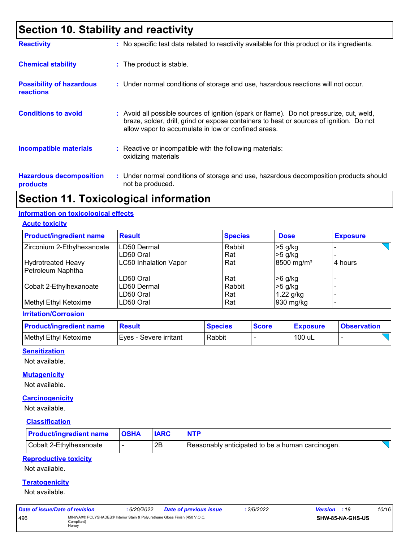# **Section 10. Stability and reactivity**

| <b>Reactivity</b>                                   | : No specific test data related to reactivity available for this product or its ingredients.                                                                                                                                             |
|-----------------------------------------------------|------------------------------------------------------------------------------------------------------------------------------------------------------------------------------------------------------------------------------------------|
| <b>Chemical stability</b>                           | : The product is stable.                                                                                                                                                                                                                 |
| <b>Possibility of hazardous</b><br><b>reactions</b> | : Under normal conditions of storage and use, hazardous reactions will not occur.                                                                                                                                                        |
| <b>Conditions to avoid</b>                          | Avoid all possible sources of ignition (spark or flame). Do not pressurize, cut, weld,<br>braze, solder, drill, grind or expose containers to heat or sources of ignition. Do not<br>allow vapor to accumulate in low or confined areas. |
| <b>Incompatible materials</b>                       | $\therefore$ Reactive or incompatible with the following materials:<br>oxidizing materials                                                                                                                                               |
| <b>Hazardous decomposition</b><br>products          | : Under normal conditions of storage and use, hazardous decomposition products should<br>not be produced.                                                                                                                                |

## **Section 11. Toxicological information**

#### **Information on toxicological effects**

**Acute toxicity**

| <b>Product/ingredient name</b> | <b>Result</b>                | <b>Species</b> | <b>Dose</b>            | <b>Exposure</b> |
|--------------------------------|------------------------------|----------------|------------------------|-----------------|
| Zirconium 2-Ethylhexanoate     | <b>ILD50 Dermal</b>          | Rabbit         | $>5$ g/kg              |                 |
|                                | LD50 Oral                    | Rat            | $>5$ g/kg              |                 |
| <b>Hydrotreated Heavy</b>      | <b>LC50 Inhalation Vapor</b> | Rat            | 8500 mg/m <sup>3</sup> | 4 hours         |
| Petroleum Naphtha              |                              |                |                        |                 |
|                                | LD50 Oral                    | Rat            | $>6$ g/kg              |                 |
| Cobalt 2-Ethylhexanoate        | LD50 Dermal                  | Rabbit         | $>5$ g/kg              |                 |
|                                | LD50 Oral                    | Rat            | 1.22 g/kg              |                 |
| Methyl Ethyl Ketoxime          | LD50 Oral                    | Rat            | 930 mg/kg              |                 |

#### **Irritation/Corrosion**

| <b>Product/ingredient name</b> | <b>Result</b>          | <b>Species</b> | <b>Score</b> | <b>Exposure</b> | <b>Observation</b> |
|--------------------------------|------------------------|----------------|--------------|-----------------|--------------------|
| Methyl Ethyl Ketoxime          | Eves - Severe irritant | Rabbit         |              | 100 uL          |                    |

#### **Sensitization**

Not available.

#### **Mutagenicity**

Not available.

#### **Carcinogenicity**

Not available.

#### **Classification**

| <b>Product/ingredient name</b> | <b>OSHA</b> |    |                                                  |  |
|--------------------------------|-------------|----|--------------------------------------------------|--|
| Cobalt 2-Ethylhexanoate        |             | 2Β | Reasonably anticipated to be a human carcinogen. |  |

#### **Reproductive toxicity**

Not available.

#### **Teratogenicity**

Not available.

| Date of issue/Date of revision |                                                                                                   | : 6/20/2022 | Date of previous issue | : 2/6/2022 | <b>Version</b> : 19 |                  | 10/16 |
|--------------------------------|---------------------------------------------------------------------------------------------------|-------------|------------------------|------------|---------------------|------------------|-------|
| 496                            | MINWAX® POLYSHADES® Interior Stain & Polyurethane Gloss Finish (450 V.O.C.<br>Compliant)<br>Honey |             |                        |            |                     | SHW-85-NA-GHS-US |       |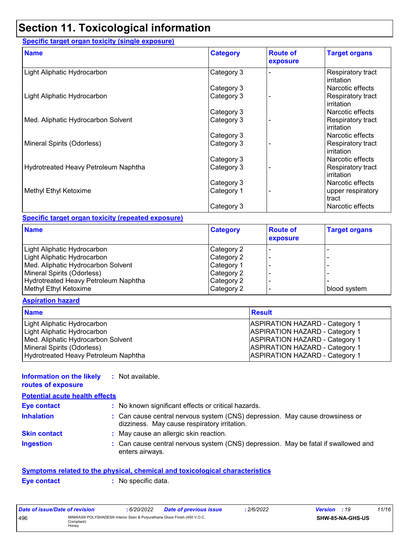# **Section 11. Toxicological information**

#### **Specific target organ toxicity (single exposure)**

| <b>Name</b>                          | <b>Category</b> | <b>Route of</b><br>exposure | <b>Target organs</b>                   |
|--------------------------------------|-----------------|-----------------------------|----------------------------------------|
| Light Aliphatic Hydrocarbon          | Category 3      |                             | Respiratory tract<br>irritation        |
|                                      | Category 3      |                             | Narcotic effects                       |
| Light Aliphatic Hydrocarbon          | Category 3      |                             | Respiratory tract<br>irritation        |
|                                      | Category 3      |                             | Narcotic effects                       |
| Med. Aliphatic Hydrocarbon Solvent   | Category 3      |                             | Respiratory tract<br>irritation        |
|                                      | Category 3      |                             | Narcotic effects                       |
| Mineral Spirits (Odorless)           | Category 3      |                             | Respiratory tract<br>irritation        |
|                                      | Category 3      |                             | Narcotic effects                       |
| Hydrotreated Heavy Petroleum Naphtha | Category 3      |                             | Respiratory tract<br><b>irritation</b> |
|                                      | Category 3      |                             | Narcotic effects                       |
| Methyl Ethyl Ketoxime                | Category 1      |                             | upper respiratory<br>tract             |
|                                      | Category 3      |                             | Narcotic effects                       |

#### **Specific target organ toxicity (repeated exposure)**

| <b>Name</b>                          | <b>Category</b> | <b>Route of</b><br>exposure | <b>Target organs</b> |
|--------------------------------------|-----------------|-----------------------------|----------------------|
| Light Aliphatic Hydrocarbon          | Category 2      |                             |                      |
| Light Aliphatic Hydrocarbon          | Category 2      |                             |                      |
| Med. Aliphatic Hydrocarbon Solvent   | Category 1      |                             |                      |
| Mineral Spirits (Odorless)           | Category 2      |                             |                      |
| Hydrotreated Heavy Petroleum Naphtha | Category 2      |                             |                      |
| Methyl Ethyl Ketoxime                | Category 2      |                             | blood system         |

#### **Aspiration hazard**

| <b>Name</b>                          | <b>Result</b>                         |
|--------------------------------------|---------------------------------------|
| Light Aliphatic Hydrocarbon          | <b>ASPIRATION HAZARD - Category 1</b> |
| Light Aliphatic Hydrocarbon          | <b>ASPIRATION HAZARD - Category 1</b> |
| Med. Aliphatic Hydrocarbon Solvent   | <b>ASPIRATION HAZARD - Category 1</b> |
| Mineral Spirits (Odorless)           | <b>ASPIRATION HAZARD - Category 1</b> |
| Hydrotreated Heavy Petroleum Naphtha | <b>ASPIRATION HAZARD - Category 1</b> |

#### **Information on the likely :** Not available.

**routes of exposure Inhalation :** Can cause central nervous system (CNS) depression. May cause drowsiness or dizziness. May cause respiratory irritation. Can cause central nervous system (CNS) depression. May be fatal if swallowed and enters airways. **Ingestion : Skin contact :** May cause an allergic skin reaction. **Eye contact :** No known significant effects or critical hazards. **Potential acute health effects**

## **Symptoms related to the physical, chemical and toxicological characteristics**

| <b>Eve contact</b> |  |  |  |
|--------------------|--|--|--|
|                    |  |  |  |
|                    |  |  |  |

**:** No specific data.

| Date of issue/Date of revision |                                                                                                   | : 6/20/2022 | <b>Date of previous issue</b> | 2/6/2022 | <b>Version</b> : 19 |                  | 11/16 |
|--------------------------------|---------------------------------------------------------------------------------------------------|-------------|-------------------------------|----------|---------------------|------------------|-------|
| 496                            | MINWAX® POLYSHADES® Interior Stain & Polyurethane Gloss Finish (450 V.O.C.<br>Compliant)<br>Honey |             |                               |          |                     | SHW-85-NA-GHS-US |       |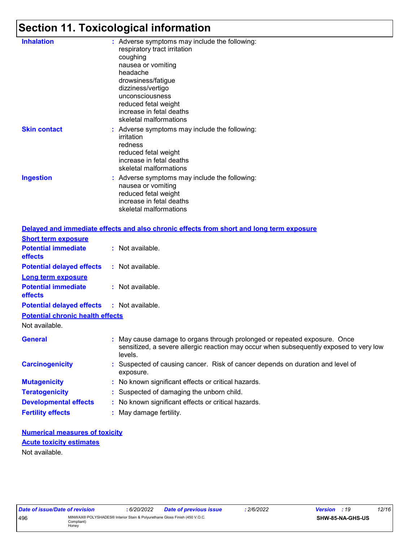# **Section 11. Toxicological information**

| <b>Inhalation</b>   | : Adverse symptoms may include the following:<br>respiratory tract irritation<br>coughing<br>nausea or vomiting<br>headache<br>drowsiness/fatigue<br>dizziness/vertigo<br>unconsciousness<br>reduced fetal weight<br>increase in fetal deaths<br>skeletal malformations |
|---------------------|-------------------------------------------------------------------------------------------------------------------------------------------------------------------------------------------------------------------------------------------------------------------------|
| <b>Skin contact</b> | : Adverse symptoms may include the following:<br>irritation<br>redness<br>reduced fetal weight<br>increase in fetal deaths<br>skeletal malformations                                                                                                                    |
| <b>Ingestion</b>    | : Adverse symptoms may include the following:<br>nausea or vomiting<br>reduced fetal weight<br>increase in fetal deaths<br>skeletal malformations                                                                                                                       |
|                     |                                                                                                                                                                                                                                                                         |

|                                              | Delayed and immediate effects and also chronic effects from short and long term exposure                                                                                       |
|----------------------------------------------|--------------------------------------------------------------------------------------------------------------------------------------------------------------------------------|
| <b>Short term exposure</b>                   |                                                                                                                                                                                |
| <b>Potential immediate</b><br><b>effects</b> | : Not available.                                                                                                                                                               |
| <b>Potential delayed effects</b>             | $:$ Not available.                                                                                                                                                             |
| <b>Long term exposure</b>                    |                                                                                                                                                                                |
| <b>Potential immediate</b><br>effects        | : Not available.                                                                                                                                                               |
| <b>Potential delayed effects</b>             | : Not available.                                                                                                                                                               |
| <b>Potential chronic health effects</b>      |                                                                                                                                                                                |
| Not available.                               |                                                                                                                                                                                |
| <b>General</b>                               | : May cause damage to organs through prolonged or repeated exposure. Once<br>sensitized, a severe allergic reaction may occur when subsequently exposed to very low<br>levels. |
| <b>Carcinogenicity</b>                       | : Suspected of causing cancer. Risk of cancer depends on duration and level of<br>exposure.                                                                                    |
| <b>Mutagenicity</b>                          | : No known significant effects or critical hazards.                                                                                                                            |
| <b>Teratogenicity</b>                        | : Suspected of damaging the unborn child.                                                                                                                                      |
| <b>Developmental effects</b>                 | : No known significant effects or critical hazards.                                                                                                                            |
| <b>Fertility effects</b>                     | : May damage fertility.                                                                                                                                                        |

**Numerical measures of toxicity** Not available. **Acute toxicity estimates**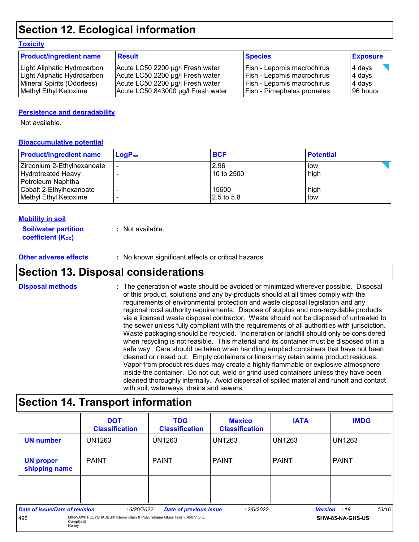## **Section 12. Ecological information**

#### **Toxicity**

| <b>Product/ingredient name</b> | <b>Result</b>                      | <b>Species</b>                    | <b>Exposure</b> |
|--------------------------------|------------------------------------|-----------------------------------|-----------------|
| Light Aliphatic Hydrocarbon    | Acute LC50 2200 µg/l Fresh water   | Fish - Lepomis macrochirus        | 4 days          |
| Light Aliphatic Hydrocarbon    | Acute LC50 2200 µg/l Fresh water   | Fish - Lepomis macrochirus        | 4 days          |
| Mineral Spirits (Odorless)     | Acute LC50 2200 µg/l Fresh water   | <b>Fish - Lepomis macrochirus</b> | 4 days          |
| Methyl Ethyl Ketoxime          | Acute LC50 843000 µg/l Fresh water | Fish - Pimephales promelas        | 196 hours       |

#### **Persistence and degradability**

Not available.

#### **Bioaccumulative potential**

| <b>Product/ingredient name</b> | $LoaPow$ | <b>BCF</b> | <b>Potential</b> |
|--------------------------------|----------|------------|------------------|
| Zirconium 2-Ethylhexanoate     |          | 2.96       | low              |
| <b>Hydrotreated Heavy</b>      |          | 10 to 2500 | high             |
| Petroleum Naphtha              |          |            |                  |
| Cobalt 2-Ethylhexanoate        |          | 15600      | high             |
| Methyl Ethyl Ketoxime          |          | 2.5 to 5.8 | low              |

#### **Mobility in soil**

| <b>Soil/water partition</b> | : Not available. |
|-----------------------------|------------------|
| <b>coefficient (Koc)</b>    |                  |

#### **Other adverse effects** : No known significant effects or critical hazards.

### **Section 13. Disposal considerations**

The generation of waste should be avoided or minimized wherever possible. Disposal of this product, solutions and any by-products should at all times comply with the requirements of environmental protection and waste disposal legislation and any regional local authority requirements. Dispose of surplus and non-recyclable products via a licensed waste disposal contractor. Waste should not be disposed of untreated to the sewer unless fully compliant with the requirements of all authorities with jurisdiction. Waste packaging should be recycled. Incineration or landfill should only be considered when recycling is not feasible. This material and its container must be disposed of in a safe way. Care should be taken when handling emptied containers that have not been cleaned or rinsed out. Empty containers or liners may retain some product residues. Vapor from product residues may create a highly flammable or explosive atmosphere inside the container. Do not cut, weld or grind used containers unless they have been cleaned thoroughly internally. Avoid dispersal of spilled material and runoff and contact with soil, waterways, drains and sewers. **Disposal methods :**

### **Section 14. Transport information**

|                                   | <b>DOT</b><br><b>Classification</b>                                                                             | <b>TDG</b><br><b>Classification</b> | <b>Mexico</b><br><b>Classification</b> | <b>IATA</b>   | <b>IMDG</b>                             |
|-----------------------------------|-----------------------------------------------------------------------------------------------------------------|-------------------------------------|----------------------------------------|---------------|-----------------------------------------|
| <b>UN number</b>                  | <b>UN1263</b>                                                                                                   | UN1263                              | UN1263                                 | <b>UN1263</b> | <b>UN1263</b>                           |
| <b>UN proper</b><br>shipping name | <b>PAINT</b>                                                                                                    | <b>PAINT</b>                        | <b>PAINT</b>                           | <b>PAINT</b>  | <b>PAINT</b>                            |
|                                   |                                                                                                                 |                                     |                                        |               |                                         |
| Date of issue/Date of revision    |                                                                                                                 |                                     |                                        |               | 13/16                                   |
| 496                               | :6/20/2022<br>MINWAX® POLYSHADES® Interior Stain & Polyurethane Gloss Finish (450 V.O.C.<br>Compliant)<br>Honey | <b>Date of previous issue</b>       | :2/6/2022                              |               | <b>Version</b> : 19<br>SHW-85-NA-GHS-US |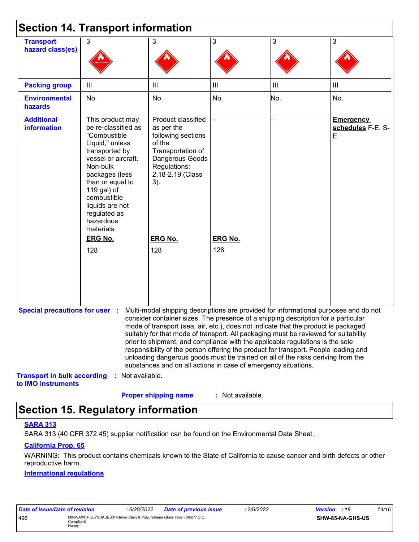|                                                          | <b>Section 14. Transport information</b>                                                                                                                                                                                                                          |                                                                                                                                                                                                                                                                                                                                                                                                                                                                                                                                                                                                                                                                                     |                  |                |                                            |
|----------------------------------------------------------|-------------------------------------------------------------------------------------------------------------------------------------------------------------------------------------------------------------------------------------------------------------------|-------------------------------------------------------------------------------------------------------------------------------------------------------------------------------------------------------------------------------------------------------------------------------------------------------------------------------------------------------------------------------------------------------------------------------------------------------------------------------------------------------------------------------------------------------------------------------------------------------------------------------------------------------------------------------------|------------------|----------------|--------------------------------------------|
| <b>Transport</b><br>hazard class(es)                     | 3                                                                                                                                                                                                                                                                 | 3                                                                                                                                                                                                                                                                                                                                                                                                                                                                                                                                                                                                                                                                                   | 3                | 3              | 3                                          |
| <b>Packing group</b>                                     | Ш                                                                                                                                                                                                                                                                 | III                                                                                                                                                                                                                                                                                                                                                                                                                                                                                                                                                                                                                                                                                 | III              | $\mathbf{III}$ | $\mathbf{III}$                             |
| <b>Environmental</b><br>hazards                          | No.                                                                                                                                                                                                                                                               | No.                                                                                                                                                                                                                                                                                                                                                                                                                                                                                                                                                                                                                                                                                 | No.              | No.            | No.                                        |
| <b>Additional</b><br><b>information</b>                  | This product may<br>be re-classified as<br>"Combustible<br>Liquid," unless<br>transported by<br>vessel or aircraft.<br>Non-bulk<br>packages (less<br>than or equal to<br>119 gal) of<br>combustible<br>liquids are not<br>regulated as<br>hazardous<br>materials. | Product classified<br>as per the<br>following sections<br>of the<br>Transportation of<br>Dangerous Goods<br>Regulations:<br>2.18-2.19 (Class<br>3).                                                                                                                                                                                                                                                                                                                                                                                                                                                                                                                                 |                  |                | <b>Emergency</b><br>schedules F-E, S-<br>E |
|                                                          | <b>ERG No.</b>                                                                                                                                                                                                                                                    | <b>ERG No.</b>                                                                                                                                                                                                                                                                                                                                                                                                                                                                                                                                                                                                                                                                      | <b>ERG No.</b>   |                |                                            |
|                                                          | 128                                                                                                                                                                                                                                                               | 128                                                                                                                                                                                                                                                                                                                                                                                                                                                                                                                                                                                                                                                                                 | 128              |                |                                            |
| <b>Special precautions for user :</b>                    |                                                                                                                                                                                                                                                                   | Multi-modal shipping descriptions are provided for informational purposes and do not<br>consider container sizes. The presence of a shipping description for a particular<br>mode of transport (sea, air, etc.), does not indicate that the product is packaged<br>suitably for that mode of transport. All packaging must be reviewed for suitability<br>prior to shipment, and compliance with the applicable regulations is the sole<br>responsibility of the person offering the product for transport. People loading and<br>unloading dangerous goods must be trained on all of the risks deriving from the<br>substances and on all actions in case of emergency situations. |                  |                |                                            |
| <b>Transport in bulk according</b><br>to IMO instruments | : Not available.                                                                                                                                                                                                                                                  | <b>Proper shipping name</b>                                                                                                                                                                                                                                                                                                                                                                                                                                                                                                                                                                                                                                                         | : Not available. |                |                                            |

# **Section 15. Regulatory information**

#### **SARA 313**

SARA 313 (40 CFR 372.45) supplier notification can be found on the Environmental Data Sheet.

#### **California Prop. 65**

WARNING: This product contains chemicals known to the State of California to cause cancer and birth defects or other reproductive harm.

#### **International regulations**

| Date of issue/Date of revision                                                                           |  | 6/20/2022 | <b>Date of previous issue</b> | 2/6/2022 | <b>Version</b> : 19 | 14/16 |
|----------------------------------------------------------------------------------------------------------|--|-----------|-------------------------------|----------|---------------------|-------|
| MINWAX® POLYSHADES® Interior Stain & Polyurethane Gloss Finish (450 V.O.C.<br>496<br>Compliant)<br>Honey |  |           | SHW-85-NA-GHS-US              |          |                     |       |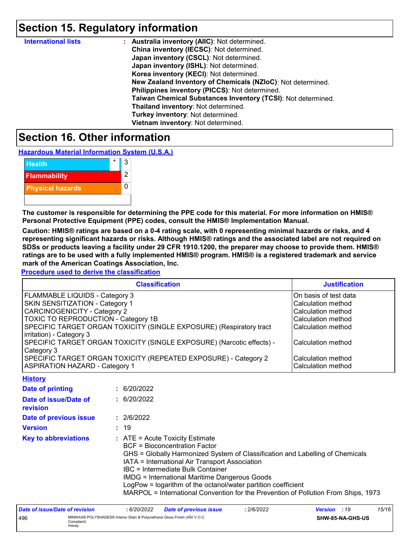## **Section 15. Regulatory information**

| <b>International lists</b> | : Australia inventory (AIIC): Not determined.                |
|----------------------------|--------------------------------------------------------------|
|                            | China inventory (IECSC): Not determined.                     |
|                            | Japan inventory (CSCL): Not determined.                      |
|                            | Japan inventory (ISHL): Not determined.                      |
|                            | Korea inventory (KECI): Not determined.                      |
|                            | New Zealand Inventory of Chemicals (NZIoC): Not determined.  |
|                            | Philippines inventory (PICCS): Not determined.               |
|                            | Taiwan Chemical Substances Inventory (TCSI): Not determined. |
|                            | Thailand inventory: Not determined.                          |
|                            | Turkey inventory: Not determined.                            |
|                            | Vietnam inventory: Not determined.                           |

### **Section 16. Other information**

**Hazardous Material Information System (U.S.A.)**

| <b>Health</b>           | ર |
|-------------------------|---|
| <b>Flammability</b>     | 2 |
| <b>Physical hazards</b> |   |
|                         |   |

**The customer is responsible for determining the PPE code for this material. For more information on HMIS® Personal Protective Equipment (PPE) codes, consult the HMIS® Implementation Manual.**

**Caution: HMIS® ratings are based on a 0-4 rating scale, with 0 representing minimal hazards or risks, and 4 representing significant hazards or risks. Although HMIS® ratings and the associated label are not required on SDSs or products leaving a facility under 29 CFR 1910.1200, the preparer may choose to provide them. HMIS® ratings are to be used with a fully implemented HMIS® program. HMIS® is a registered trademark and service mark of the American Coatings Association, Inc.**

**Procedure used to derive the classification**

| <b>Classification</b>                                                 | <b>Justification</b>      |
|-----------------------------------------------------------------------|---------------------------|
| FLAMMABLE LIQUIDS - Category 3                                        | On basis of test data     |
| <b>SKIN SENSITIZATION - Category 1</b>                                | <b>Calculation method</b> |
| <b>CARCINOGENICITY - Category 2</b>                                   | Calculation method        |
| TOXIC TO REPRODUCTION - Category 1B                                   | Calculation method        |
| SPECIFIC TARGET ORGAN TOXICITY (SINGLE EXPOSURE) (Respiratory tract   | Calculation method        |
| irritation) - Category 3                                              |                           |
| SPECIFIC TARGET ORGAN TOXICITY (SINGLE EXPOSURE) (Narcotic effects) - | Calculation method        |
| Category 3                                                            |                           |
| SPECIFIC TARGET ORGAN TOXICITY (REPEATED EXPOSURE) - Category 2       | l Calculation method      |
| <b>ASPIRATION HAZARD - Category 1</b>                                 | Calculation method        |
| <b>A. A. A. A. A. A. A. A.</b>                                        |                           |

| <u><b>HISLOIV</b></u>             |                                                                                                                                                                                                                                                                                                                                                                                                                                                                    |
|-----------------------------------|--------------------------------------------------------------------------------------------------------------------------------------------------------------------------------------------------------------------------------------------------------------------------------------------------------------------------------------------------------------------------------------------------------------------------------------------------------------------|
| Date of printing                  | : 6/20/2022                                                                                                                                                                                                                                                                                                                                                                                                                                                        |
| Date of issue/Date of<br>revision | : 6/20/2022                                                                                                                                                                                                                                                                                                                                                                                                                                                        |
| Date of previous issue            | : 2/6/2022                                                                                                                                                                                                                                                                                                                                                                                                                                                         |
| <b>Version</b>                    | : 19                                                                                                                                                                                                                                                                                                                                                                                                                                                               |
| <b>Key to abbreviations</b>       | $\therefore$ ATE = Acute Toxicity Estimate<br><b>BCF</b> = Bioconcentration Factor<br>GHS = Globally Harmonized System of Classification and Labelling of Chemicals<br>IATA = International Air Transport Association<br>IBC = Intermediate Bulk Container<br>IMDG = International Maritime Dangerous Goods<br>LogPow = logarithm of the octanol/water partition coefficient<br>MARPOL = International Convention for the Prevention of Pollution From Ships, 1973 |

| Date of issue/Date of revision                                                                           |  | 6/20/2022 | <b>Date of previous issue</b> | 2/6/2022         | <b>Version</b> : 19 | 15/16 |
|----------------------------------------------------------------------------------------------------------|--|-----------|-------------------------------|------------------|---------------------|-------|
| MINWAX® POLYSHADES® Interior Stain & Polyurethane Gloss Finish (450 V.O.C.<br>496<br>Compliant)<br>Honev |  |           |                               | SHW-85-NA-GHS-US |                     |       |